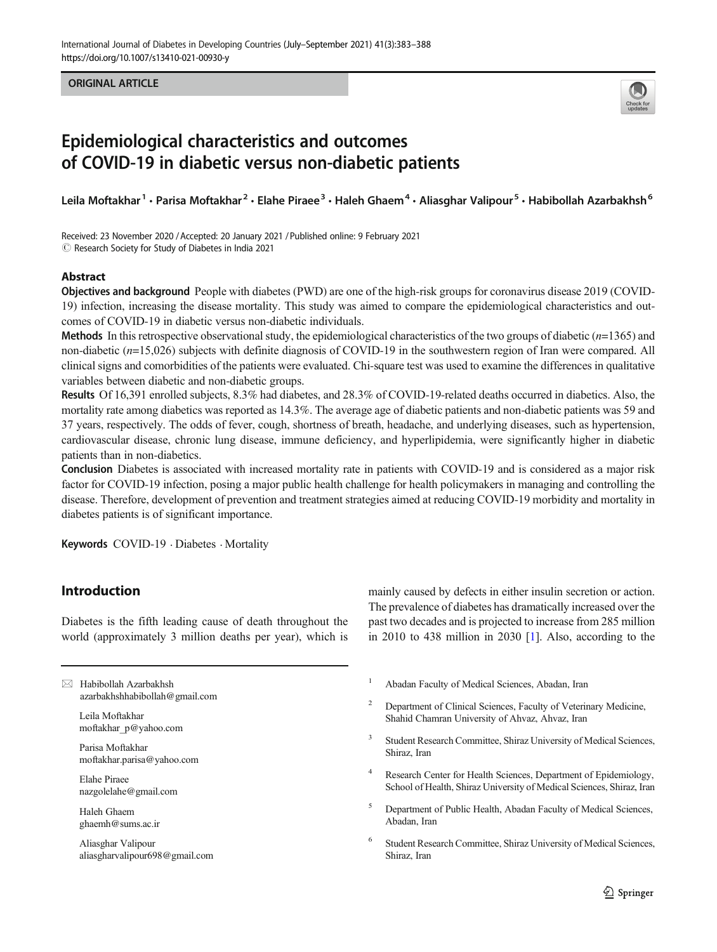#### **ORIGINAL ARTICLE** ORIGINAL ARTICLE



# Epidemiological characteristics and outcomes of COVID-19 in diabetic versus non-diabetic patients

Leila Moftakhar<sup>1</sup> • Parisa Moftakhar<sup>2</sup> • Elahe Piraee<sup>3</sup> • Haleh Ghaem<sup>4</sup> • Aliasghar Valipour<sup>5</sup> • Habibollah Azarbakhsh<sup>6</sup>

Received: 23 November 2020 /Accepted: 20 January 2021 /Published online: 9 February 2021  $\circled{c}$  Research Society for Study of Diabetes in India 2021

#### Abstract

Objectives and background People with diabetes (PWD) are one of the high-risk groups for coronavirus disease 2019 (COVID-19) infection, increasing the disease mortality. This study was aimed to compare the epidemiological characteristics and outcomes of COVID-19 in diabetic versus non-diabetic individuals.

Methods In this retrospective observational study, the epidemiological characteristics of the two groups of diabetic  $(n=1365)$  and non-diabetic (n=15,026) subjects with definite diagnosis of COVID-19 in the southwestern region of Iran were compared. All clinical signs and comorbidities of the patients were evaluated. Chi-square test was used to examine the differences in qualitative variables between diabetic and non-diabetic groups.

Results Of 16,391 enrolled subjects, 8.3% had diabetes, and 28.3% of COVID-19-related deaths occurred in diabetics. Also, the mortality rate among diabetics was reported as 14.3%. The average age of diabetic patients and non-diabetic patients was 59 and 37 years, respectively. The odds of fever, cough, shortness of breath, headache, and underlying diseases, such as hypertension, cardiovascular disease, chronic lung disease, immune deficiency, and hyperlipidemia, were significantly higher in diabetic patients than in non-diabetics.

Conclusion Diabetes is associated with increased mortality rate in patients with COVID-19 and is considered as a major risk factor for COVID-19 infection, posing a major public health challenge for health policymakers in managing and controlling the disease. Therefore, development of prevention and treatment strategies aimed at reducing COVID-19 morbidity and mortality in diabetes patients is of significant importance.

Keywords COVID-19 · Diabetes · Mortality

# Introduction

Diabetes is the fifth leading cause of death throughout the world (approximately 3 million deaths per year), which is

 $\boxtimes$  Habibollah Azarbakhsh [azarbakhshhabibollah@gmail.com](mailto:azarbakhshhabibollah@gmail.com)

> Leila Moftakhar moftakhar\_p@yahoo.com

Parisa Moftakhar moftakhar.parisa@yahoo.com

Elahe Piraee nazgolelahe@gmail.com

Haleh Ghaem ghaemh@sums.ac.ir

Aliasghar Valipour aliasgharvalipour698@gmail.com mainly caused by defects in either insulin secretion or action. The prevalence of diabetes has dramatically increased over the past two decades and is projected to increase from 285 million in 2010 to 438 million in 2030 [\[1](#page-5-0)]. Also, according to the

- <sup>1</sup> Abadan Faculty of Medical Sciences, Abadan, Iran
- <sup>2</sup> Department of Clinical Sciences, Faculty of Veterinary Medicine, Shahid Chamran University of Ahvaz, Ahvaz, Iran
- <sup>3</sup> Student Research Committee, Shiraz University of Medical Sciences, Shiraz, Iran
- Research Center for Health Sciences, Department of Epidemiology, School of Health, Shiraz University of Medical Sciences, Shiraz, Iran
- <sup>5</sup> Department of Public Health, Abadan Faculty of Medical Sciences, Abadan, Iran
- <sup>6</sup> Student Research Committee, Shiraz University of Medical Sciences, Shiraz, Iran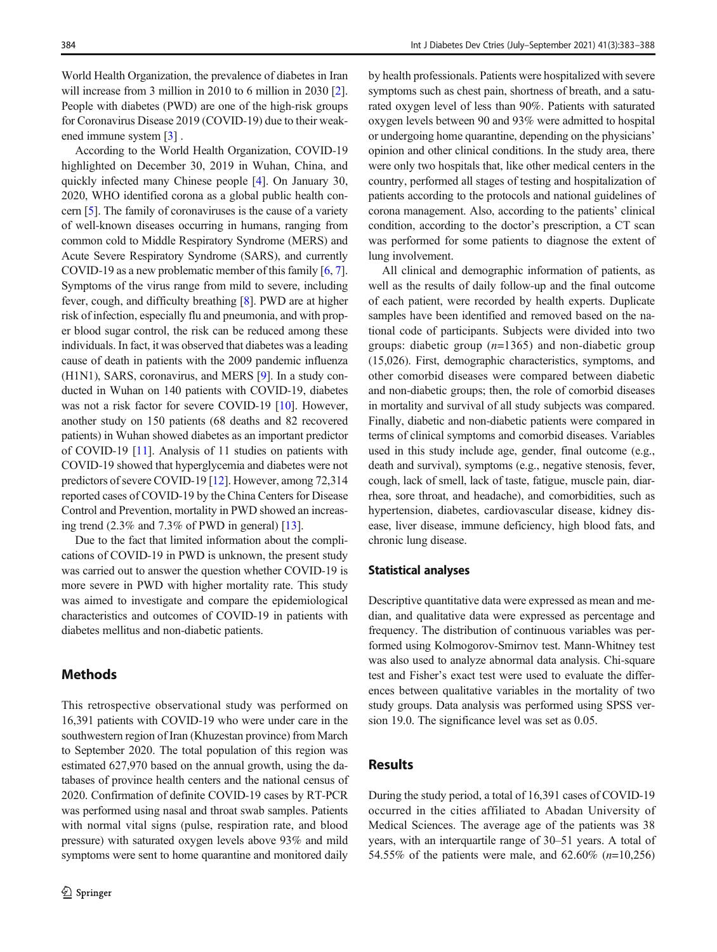World Health Organization, the prevalence of diabetes in Iran will increase from 3 million in 2010 to 6 million in 2030 [[2\]](#page-5-0). People with diabetes (PWD) are one of the high-risk groups for Coronavirus Disease 2019 (COVID-19) due to their weakened immune system [\[3](#page-5-0)] .

According to the World Health Organization, COVID-19 highlighted on December 30, 2019 in Wuhan, China, and quickly infected many Chinese people [[4\]](#page-5-0). On January 30, 2020, WHO identified corona as a global public health concern [\[5](#page-5-0)]. The family of coronaviruses is the cause of a variety of well-known diseases occurring in humans, ranging from common cold to Middle Respiratory Syndrome (MERS) and Acute Severe Respiratory Syndrome (SARS), and currently COVID-19 as a new problematic member of this family [\[6](#page-5-0), [7\]](#page-5-0). Symptoms of the virus range from mild to severe, including fever, cough, and difficulty breathing [[8](#page-5-0)]. PWD are at higher risk of infection, especially flu and pneumonia, and with proper blood sugar control, the risk can be reduced among these individuals. In fact, it was observed that diabetes was a leading cause of death in patients with the 2009 pandemic influenza (H1N1), SARS, coronavirus, and MERS [[9](#page-5-0)]. In a study conducted in Wuhan on 140 patients with COVID-19, diabetes was not a risk factor for severe COVID-19 [\[10\]](#page-5-0). However, another study on 150 patients (68 deaths and 82 recovered patients) in Wuhan showed diabetes as an important predictor of COVID-19 [\[11\]](#page-5-0). Analysis of 11 studies on patients with COVID-19 showed that hyperglycemia and diabetes were not predictors of severe COVID-19 [[12](#page-5-0)]. However, among 72,314 reported cases of COVID-19 by the China Centers for Disease Control and Prevention, mortality in PWD showed an increasing trend  $(2.3\%$  and  $7.3\%$  of PWD in general) [\[13\]](#page-5-0).

Due to the fact that limited information about the complications of COVID-19 in PWD is unknown, the present study was carried out to answer the question whether COVID-19 is more severe in PWD with higher mortality rate. This study was aimed to investigate and compare the epidemiological characteristics and outcomes of COVID-19 in patients with diabetes mellitus and non-diabetic patients.

## Methods

This retrospective observational study was performed on 16,391 patients with COVID-19 who were under care in the southwestern region of Iran (Khuzestan province) from March to September 2020. The total population of this region was estimated 627,970 based on the annual growth, using the databases of province health centers and the national census of 2020. Confirmation of definite COVID-19 cases by RT-PCR was performed using nasal and throat swab samples. Patients with normal vital signs (pulse, respiration rate, and blood pressure) with saturated oxygen levels above 93% and mild symptoms were sent to home quarantine and monitored daily

by health professionals. Patients were hospitalized with severe symptoms such as chest pain, shortness of breath, and a saturated oxygen level of less than 90%. Patients with saturated oxygen levels between 90 and 93% were admitted to hospital or undergoing home quarantine, depending on the physicians' opinion and other clinical conditions. In the study area, there were only two hospitals that, like other medical centers in the country, performed all stages of testing and hospitalization of patients according to the protocols and national guidelines of corona management. Also, according to the patients' clinical condition, according to the doctor's prescription, a CT scan was performed for some patients to diagnose the extent of lung involvement.

All clinical and demographic information of patients, as well as the results of daily follow-up and the final outcome of each patient, were recorded by health experts. Duplicate samples have been identified and removed based on the national code of participants. Subjects were divided into two groups: diabetic group  $(n=1365)$  and non-diabetic group (15,026). First, demographic characteristics, symptoms, and other comorbid diseases were compared between diabetic and non-diabetic groups; then, the role of comorbid diseases in mortality and survival of all study subjects was compared. Finally, diabetic and non-diabetic patients were compared in terms of clinical symptoms and comorbid diseases. Variables used in this study include age, gender, final outcome (e.g., death and survival), symptoms (e.g., negative stenosis, fever, cough, lack of smell, lack of taste, fatigue, muscle pain, diarrhea, sore throat, and headache), and comorbidities, such as hypertension, diabetes, cardiovascular disease, kidney disease, liver disease, immune deficiency, high blood fats, and chronic lung disease.

#### Statistical analyses

Descriptive quantitative data were expressed as mean and median, and qualitative data were expressed as percentage and frequency. The distribution of continuous variables was performed using Kolmogorov-Smirnov test. Mann-Whitney test was also used to analyze abnormal data analysis. Chi-square test and Fisher's exact test were used to evaluate the differences between qualitative variables in the mortality of two study groups. Data analysis was performed using SPSS version 19.0. The significance level was set as 0.05.

## Results

During the study period, a total of 16,391 cases of COVID-19 occurred in the cities affiliated to Abadan University of Medical Sciences. The average age of the patients was 38 years, with an interquartile range of 30–51 years. A total of 54.55% of the patients were male, and 62.60%  $(n=10,256)$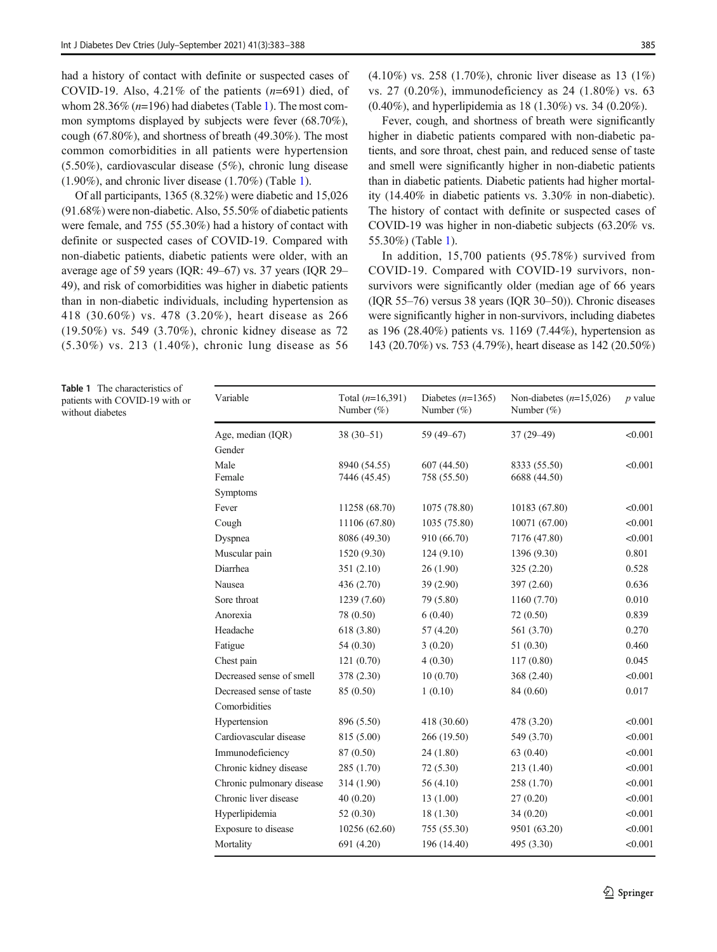had a history of contact with definite or suspected cases of COVID-19. Also, 4.21% of the patients  $(n=691)$  died, of whom 28.36% ( $n=196$ ) had diabetes (Table 1). The most common symptoms displayed by subjects were fever (68.70%), cough (67.80%), and shortness of breath (49.30%). The most common comorbidities in all patients were hypertension (5.50%), cardiovascular disease (5%), chronic lung disease (1.90%), and chronic liver disease (1.70%) (Table 1).

Of all participants, 1365 (8.32%) were diabetic and 15,026 (91.68%) were non-diabetic. Also, 55.50% of diabetic patients were female, and 755 (55.30%) had a history of contact with definite or suspected cases of COVID-19. Compared with non-diabetic patients, diabetic patients were older, with an average age of 59 years (IQR: 49–67) vs. 37 years (IQR 29– 49), and risk of comorbidities was higher in diabetic patients than in non-diabetic individuals, including hypertension as 418 (30.60%) vs. 478 (3.20%), heart disease as 266 (19.50%) vs. 549 (3.70%), chronic kidney disease as 72 (5.30%) vs. 213 (1.40%), chronic lung disease as 56 (4.10%) vs. 258 (1.70%), chronic liver disease as 13 (1%) vs. 27 (0.20%), immunodeficiency as 24 (1.80%) vs. 63 (0.40%), and hyperlipidemia as 18 (1.30%) vs. 34 (0.20%).

Fever, cough, and shortness of breath were significantly higher in diabetic patients compared with non-diabetic patients, and sore throat, chest pain, and reduced sense of taste and smell were significantly higher in non-diabetic patients than in diabetic patients. Diabetic patients had higher mortality (14.40% in diabetic patients vs. 3.30% in non-diabetic). The history of contact with definite or suspected cases of COVID-19 was higher in non-diabetic subjects (63.20% vs. 55.30%) (Table 1).

In addition, 15,700 patients (95.78%) survived from COVID-19. Compared with COVID-19 survivors, nonsurvivors were significantly older (median age of 66 years (IQR 55–76) versus 38 years (IQR 30–50)). Chronic diseases were significantly higher in non-survivors, including diabetes as 196 (28.40%) patients vs. 1169 (7.44%), hypertension as 143 (20.70%) vs. 753 (4.79%), heart disease as 142 (20.50%)

Table 1 The characteristics of patients with COVID-19 with or without diabetes

| Variable                  | Total $(n=16,391)$<br>Number $(\%)$ | Diabetes $(n=1365)$<br>Number $(\%)$ | Non-diabetes $(n=15,026)$<br>Number $(\%)$ | $p$ value |
|---------------------------|-------------------------------------|--------------------------------------|--------------------------------------------|-----------|
| Age, median (IQR)         | $38(30 - 51)$                       | 59 (49-67)                           | $37(29 - 49)$                              | < 0.001   |
| Gender                    |                                     |                                      |                                            |           |
| Male                      | 8940 (54.55)                        | 607(44.50)                           | 8333 (55.50)                               | < 0.001   |
| Female                    | 7446 (45.45)                        | 758 (55.50)                          | 6688 (44.50)                               |           |
| Symptoms                  |                                     |                                      |                                            |           |
| Fever                     | 11258 (68.70)                       | 1075 (78.80)                         | 10183 (67.80)                              | < 0.001   |
| Cough                     | 11106 (67.80)                       | 1035 (75.80)                         | 10071 (67.00)                              | < 0.001   |
| Dyspnea                   | 8086 (49.30)                        | 910 (66.70)                          | 7176 (47.80)                               | < 0.001   |
| Muscular pain             | 1520 (9.30)                         | 124(9.10)                            | 1396 (9.30)                                | 0.801     |
| Diarrhea                  | 351(2.10)                           | 26(1.90)                             | 325(2.20)                                  | 0.528     |
| Nausea                    | 436 (2.70)                          | 39 (2.90)                            | 397 (2.60)                                 | 0.636     |
| Sore throat               | 1239 (7.60)                         | 79 (5.80)                            | 1160 (7.70)                                | 0.010     |
| Anorexia                  | 78 (0.50)                           | 6(0.40)                              | 72 (0.50)                                  | 0.839     |
| Headache                  | 618 (3.80)                          | 57 (4.20)                            | 561 (3.70)                                 | 0.270     |
| Fatigue                   | 54 (0.30)                           | 3(0.20)                              | 51 (0.30)                                  | 0.460     |
| Chest pain                | 121(0.70)                           | 4(0.30)                              | 117(0.80)                                  | 0.045     |
| Decreased sense of smell  | 378 (2.30)                          | 10(0.70)                             | 368 (2.40)                                 | < 0.001   |
| Decreased sense of taste  | 85 (0.50)                           | 1(0.10)                              | 84 (0.60)                                  | 0.017     |
| Comorbidities             |                                     |                                      |                                            |           |
| Hypertension              | 896 (5.50)                          | 418 (30.60)                          | 478 (3.20)                                 | < 0.001   |
| Cardiovascular disease    | 815 (5.00)                          | 266 (19.50)                          | 549 (3.70)                                 | < 0.001   |
| Immunodeficiency          | 87 (0.50)                           | 24 (1.80)                            | 63 (0.40)                                  | < 0.001   |
| Chronic kidney disease    | 285 (1.70)                          | 72(5.30)                             | 213 (1.40)                                 | < 0.001   |
| Chronic pulmonary disease | 314 (1.90)                          | 56 (4.10)                            | 258 (1.70)                                 | < 0.001   |
| Chronic liver disease     | 40(0.20)                            | 13(1.00)                             | 27(0.20)                                   | < 0.001   |
| Hyperlipidemia            | 52 (0.30)                           | 18(1.30)                             | 34(0.20)                                   | < 0.001   |
| Exposure to disease       | 10256 (62.60)                       | 755 (55.30)                          | 9501 (63.20)                               | < 0.001   |
| Mortality                 | 691 (4.20)                          | 196 (14.40)                          | 495 (3.30)                                 | < 0.001   |
|                           |                                     |                                      |                                            |           |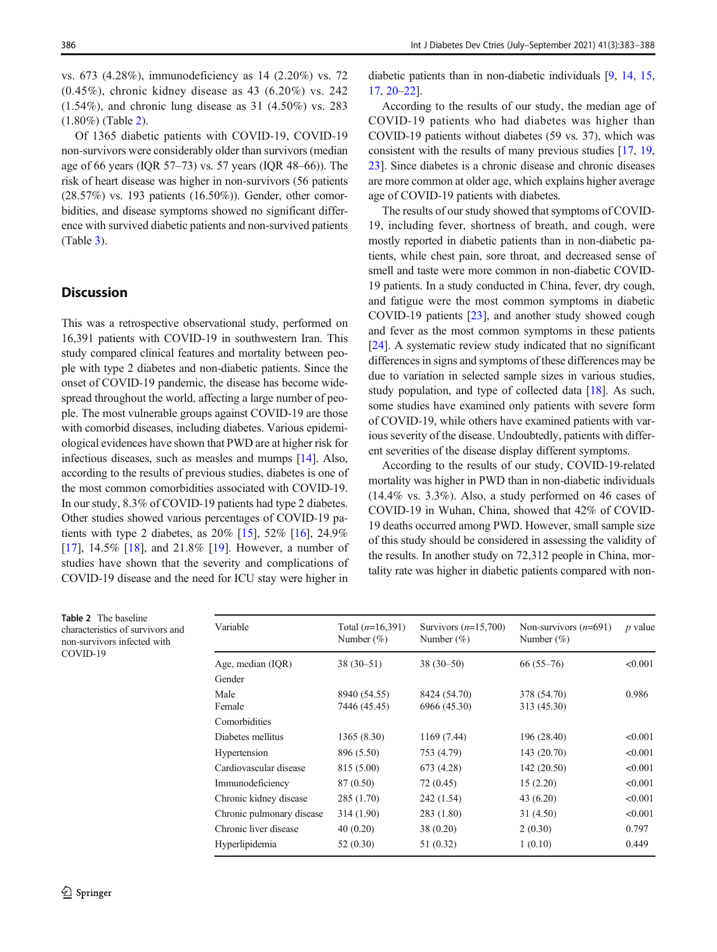vs. 673 (4.28%), immunodeficiency as 14 (2.20%) vs. 72 (0.45%), chronic kidney disease as 43 (6.20%) vs. 242 (1.54%), and chronic lung disease as 31 (4.50%) vs. 283 (1.80%) (Table 2).

Of 1365 diabetic patients with COVID-19, COVID-19 non-survivors were considerably older than survivors (median age of 66 years (IQR 57–73) vs. 57 years (IQR 48–66)). The risk of heart disease was higher in non-survivors (56 patients (28.57%) vs. 193 patients (16.50%)). Gender, other comorbidities, and disease symptoms showed no significant difference with survived diabetic patients and non-survived patients (Table [3\)](#page-4-0).

## **Discussion**

This was a retrospective observational study, performed on 16,391 patients with COVID-19 in southwestern Iran. This study compared clinical features and mortality between people with type 2 diabetes and non-diabetic patients. Since the onset of COVID-19 pandemic, the disease has become widespread throughout the world, affecting a large number of people. The most vulnerable groups against COVID-19 are those with comorbid diseases, including diabetes. Various epidemiological evidences have shown that PWD are at higher risk for infectious diseases, such as measles and mumps [[14](#page-5-0)]. Also, according to the results of previous studies, diabetes is one of the most common comorbidities associated with COVID-19. In our study, 8.3% of COVID-19 patients had type 2 diabetes. Other studies showed various percentages of COVID-19 patients with type 2 diabetes, as 20% [[15](#page-5-0)], 52% [[16](#page-5-0)], 24.9% [\[17](#page-5-0)], 14.5% [\[18](#page-5-0)], and 21.8% [[19\]](#page-5-0). However, a number of studies have shown that the severity and complications of COVID-19 disease and the need for ICU stay were higher in

diabetic patients than in non-diabetic individuals [[9](#page-5-0), [14](#page-5-0), [15,](#page-5-0) [17,](#page-5-0) [20](#page-5-0)–[22](#page-5-0)].

According to the results of our study, the median age of COVID-19 patients who had diabetes was higher than COVID-19 patients without diabetes (59 vs. 37), which was consistent with the results of many previous studies [[17](#page-5-0), [19,](#page-5-0) [23\]](#page-5-0). Since diabetes is a chronic disease and chronic diseases are more common at older age, which explains higher average age of COVID-19 patients with diabetes.

The results of our study showed that symptoms of COVID-19, including fever, shortness of breath, and cough, were mostly reported in diabetic patients than in non-diabetic patients, while chest pain, sore throat, and decreased sense of smell and taste were more common in non-diabetic COVID-19 patients. In a study conducted in China, fever, dry cough, and fatigue were the most common symptoms in diabetic COVID-19 patients [\[23](#page-5-0)], and another study showed cough and fever as the most common symptoms in these patients [\[24](#page-5-0)]. A systematic review study indicated that no significant differences in signs and symptoms of these differences may be due to variation in selected sample sizes in various studies, study population, and type of collected data [\[18](#page-5-0)]. As such, some studies have examined only patients with severe form of COVID-19, while others have examined patients with various severity of the disease. Undoubtedly, patients with different severities of the disease display different symptoms.

According to the results of our study, COVID-19-related mortality was higher in PWD than in non-diabetic individuals (14.4% vs. 3.3%). Also, a study performed on 46 cases of COVID-19 in Wuhan, China, showed that 42% of COVID-19 deaths occurred among PWD. However, small sample size of this study should be considered in assessing the validity of the results. In another study on 72,312 people in China, mortality rate was higher in diabetic patients compared with non-

Table 2 The baseline characteristics of survivors and non-survivors infected with COVID-19

| Variable                  | Total $(n=16,391)$<br>Number $(\%)$ | Survivors $(n=15,700)$<br>Number $(\%)$ | Non-survivors $(n=691)$<br>Number $(\%)$ | $p$ value |
|---------------------------|-------------------------------------|-----------------------------------------|------------------------------------------|-----------|
| Age, median (IQR)         | $38(30-51)$                         | $38(30-50)$                             | $66(55-76)$                              | < 0.001   |
| Gender                    |                                     |                                         |                                          |           |
| Male                      | 8940 (54.55)                        | 8424 (54.70)                            | 378 (54.70)                              | 0.986     |
| Female                    | 7446 (45.45)                        | 6966 (45.30)                            | 313 (45.30)                              |           |
| Comorbidities             |                                     |                                         |                                          |           |
| Diabetes mellitus         | 1365(8.30)                          | 1169 (7.44)                             | 196 (28.40)                              | < 0.001   |
| Hypertension              | 896 (5.50)                          | 753 (4.79)                              | 143 (20.70)                              | < 0.001   |
| Cardiovascular disease    | 815 (5.00)                          | 673 (4.28)                              | 142(20.50)                               | < 0.001   |
| Immunodeficiency          | 87 (0.50)                           | 72 (0.45)                               | 15(2.20)                                 | < 0.001   |
| Chronic kidney disease    | 285 (1.70)                          | 242 (1.54)                              | 43 (6.20)                                | < 0.001   |
| Chronic pulmonary disease | 314 (1.90)                          | 283 (1.80)                              | 31(4.50)                                 | < 0.001   |
| Chronic liver disease     | 40(0.20)                            | 38 (0.20)                               | 2(0.30)                                  | 0.797     |
| Hyperlipidemia            | 52(0.30)                            | 51 (0.32)                               | 1(0.10)                                  | 0.449     |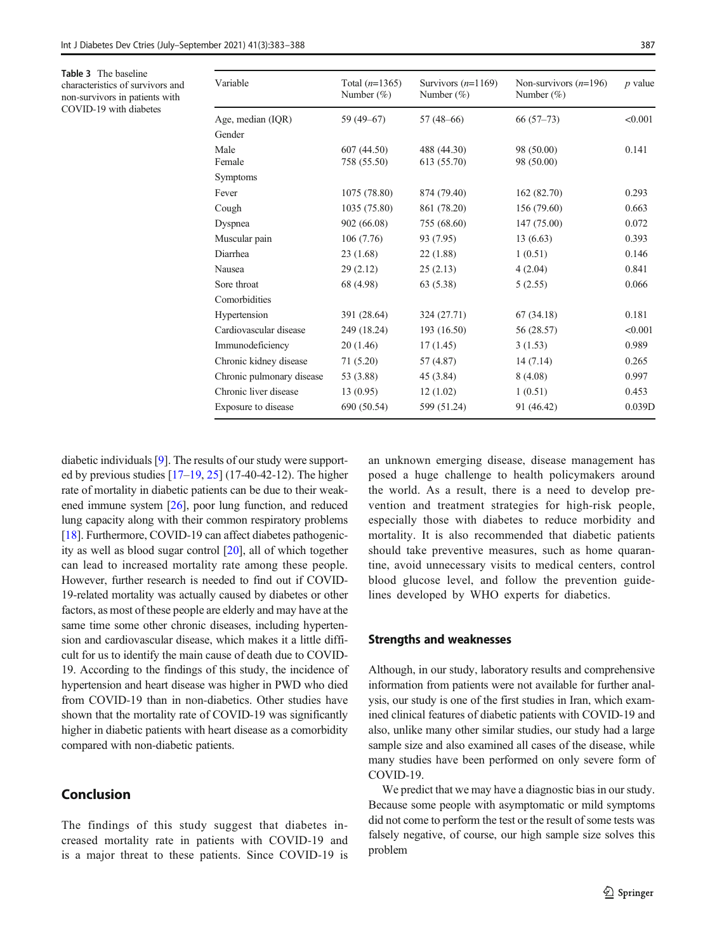<span id="page-4-0"></span>Table 3 The baseline characteristics of survivors and non-survivors in patients with COVID-19 with diabetes

| Variable                  | Total $(n=1365)$<br>Number $(\%)$ | Survivors $(n=1169)$<br>Number $(\%)$ | Non-survivors $(n=196)$<br>Number $(\%)$ | $p$ value |
|---------------------------|-----------------------------------|---------------------------------------|------------------------------------------|-----------|
| Age, median (IQR)         | 59 (49-67)                        | $57(48-66)$                           | $66(57-73)$                              | < 0.001   |
| Gender                    |                                   |                                       |                                          |           |
| Male                      | 607 (44.50)                       | 488 (44.30)                           | 98 (50.00)                               | 0.141     |
| Female                    | 758 (55.50)                       | 613 (55.70)                           | 98 (50.00)                               |           |
| Symptoms                  |                                   |                                       |                                          |           |
| Fever                     | 1075 (78.80)                      | 874 (79.40)                           | 162 (82.70)                              | 0.293     |
| Cough                     | 1035 (75.80)                      | 861 (78.20)                           | 156 (79.60)                              | 0.663     |
| Dyspnea                   | 902 (66.08)                       | 755 (68.60)                           | 147 (75.00)                              | 0.072     |
| Muscular pain             | 106 (7.76)                        | 93 (7.95)                             | 13(6.63)                                 | 0.393     |
| Diarrhea                  | 23(1.68)                          | 22(1.88)                              | 1(0.51)                                  | 0.146     |
| Nausea                    | 29(2.12)                          | 25(2.13)                              | 4(2.04)                                  | 0.841     |
| Sore throat               | 68 (4.98)                         | 63 (5.38)                             | 5(2.55)                                  | 0.066     |
| Comorbidities             |                                   |                                       |                                          |           |
| Hypertension              | 391 (28.64)                       | 324 (27.71)                           | 67(34.18)                                | 0.181     |
| Cardiovascular disease    | 249 (18.24)                       | 193 (16.50)                           | 56 (28.57)                               | < 0.001   |
| Immunodeficiency          | 20(1.46)                          | 17(1.45)                              | 3(1.53)                                  | 0.989     |
| Chronic kidney disease    | 71 (5.20)                         | 57 (4.87)                             | 14(7.14)                                 | 0.265     |
| Chronic pulmonary disease | 53 (3.88)                         | 45 (3.84)                             | 8(4.08)                                  | 0.997     |
| Chronic liver disease     | 13(0.95)                          | 12(1.02)                              | 1(0.51)                                  | 0.453     |
| Exposure to disease       | 690 (50.54)                       | 599 (51.24)                           | 91 (46.42)                               | 0.039D    |

diabetic individuals [\[9](#page-5-0)]. The results of our study were supported by previous studies  $[17–19, 25]$  $[17–19, 25]$  $[17–19, 25]$  $[17–19, 25]$  $[17–19, 25]$  $[17–19, 25]$  (17-40-42-12). The higher rate of mortality in diabetic patients can be due to their weakened immune system [[26\]](#page-5-0), poor lung function, and reduced lung capacity along with their common respiratory problems [\[18\]](#page-5-0). Furthermore, COVID-19 can affect diabetes pathogenicity as well as blood sugar control [[20](#page-5-0)], all of which together can lead to increased mortality rate among these people. However, further research is needed to find out if COVID-19-related mortality was actually caused by diabetes or other factors, as most of these people are elderly and may have at the same time some other chronic diseases, including hypertension and cardiovascular disease, which makes it a little difficult for us to identify the main cause of death due to COVID-19. According to the findings of this study, the incidence of hypertension and heart disease was higher in PWD who died from COVID-19 than in non-diabetics. Other studies have shown that the mortality rate of COVID-19 was significantly higher in diabetic patients with heart disease as a comorbidity compared with non-diabetic patients.

## Conclusion

The findings of this study suggest that diabetes increased mortality rate in patients with COVID-19 and is a major threat to these patients. Since COVID-19 is an unknown emerging disease, disease management has posed a huge challenge to health policymakers around the world. As a result, there is a need to develop prevention and treatment strategies for high-risk people, especially those with diabetes to reduce morbidity and mortality. It is also recommended that diabetic patients should take preventive measures, such as home quarantine, avoid unnecessary visits to medical centers, control blood glucose level, and follow the prevention guidelines developed by WHO experts for diabetics.

#### Strengths and weaknesses

Although, in our study, laboratory results and comprehensive information from patients were not available for further analysis, our study is one of the first studies in Iran, which examined clinical features of diabetic patients with COVID-19 and also, unlike many other similar studies, our study had a large sample size and also examined all cases of the disease, while many studies have been performed on only severe form of COVID-19.

We predict that we may have a diagnostic bias in our study. Because some people with asymptomatic or mild symptoms did not come to perform the test or the result of some tests was falsely negative, of course, our high sample size solves this problem